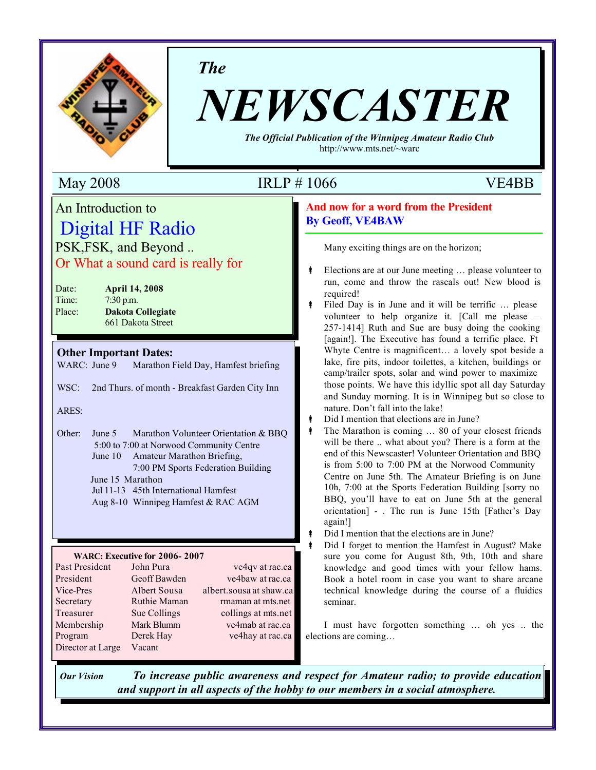

*The*

# *NEWSCASTER*

*The Official Publication of the Winnipeg Amateur Radio Club* http://www.mts.net/~warc

# An Introduction to Digital HF Radio PSK,FSK, and Beyond ..

Or What a sound card is really for

| Date:  | <b>April 14, 2008</b>    |
|--------|--------------------------|
| Time:  | $7:30$ p.m.              |
| Place: | <b>Dakota Collegiate</b> |
|        | 661 Dakota Street        |

#### **Other Important Dates:**

WARC: June 9 Marathon Field Day, Hamfest briefing

WSC: 2nd Thurs. of month - Breakfast Garden City Inn

#### ARES:

Other: June 5 Marathon Volunteer Orientation & BBQ 5:00 to 7:00 at Norwood Community Centre June 10 Amateur Marathon Briefing, 7:00 PM Sports Federation Building June 15 Marathon

- Jul 11-13 45th International Hamfest
- Aug 8-10 Winnipeg Hamfest & RAC AGM

#### **WARC: Executive for 2006- 2007**

| Past President    | John Pura    | ve4qv at rac.ca         |
|-------------------|--------------|-------------------------|
| President         | Geoff Bawden | ve4baw at rac.ca        |
| Vice-Pres         | Albert Sousa | albert.sousa at shaw.ca |
| Secretary         | Ruthie Maman | rmaman at mts.net       |
| Treasurer         | Sue Collings | collings at mts.net     |
| Membership        | Mark Blumm   | ve4mab at rac.ca        |
| Program           | Derek Hay    | ve4hay at rac.ca        |
| Director at Large | Vacant       |                         |

# May 2008 IRLP # 1066 VE4BB

#### **And now for a word from the President By Geoff, VE4BAW**

Many exciting things are on the horizon;

- Elections are at our June meeting ... please volunteer to run, come and throw the rascals out! New blood is required!
- Filed Day is in June and it will be terrific ... please volunteer to help organize it. [Call me please – 257-1414] Ruth and Sue are busy doing the cooking [again!]. The Executive has found a terrific place. Ft Whyte Centre is magnificent… a lovely spot beside a lake, fire pits, indoor toilettes, a kitchen, buildings or camp/trailer spots, solar and wind power to maximize those points. We have this idyllic spot all day Saturday and Sunday morning. It is in Winnipeg but so close to nature. Don't fall into the lake!
- Did I mention that elections are in June?
- Å The Marathon is coming … 80 of your closest friends will be there .. what about you? There is a form at the end of this Newscaster! Volunteer Orientation and BBQ is from 5:00 to 7:00 PM at the Norwood Community Centre on June 5th. The Amateur Briefing is on June 10h, 7:00 at the Sports Federation Building [sorry no BBQ, you'll have to eat on June 5th at the general orientation] - . The run is June 15th [Father's Day again!]
- Did I mention that the elections are in June?
- Å Did I forget to mention the Hamfest in August? Make sure you come for August 8th, 9th, 10th and share knowledge and good times with your fellow hams. Book a hotel room in case you want to share arcane technical knowledge during the course of a fluidics seminar.

I must have forgotten something … oh yes .. the elections are coming…

*Our Vision To increase public awareness and respect for Amateur radio; to provide education and support in all aspects of the hobby to our members in a social atmosphere.*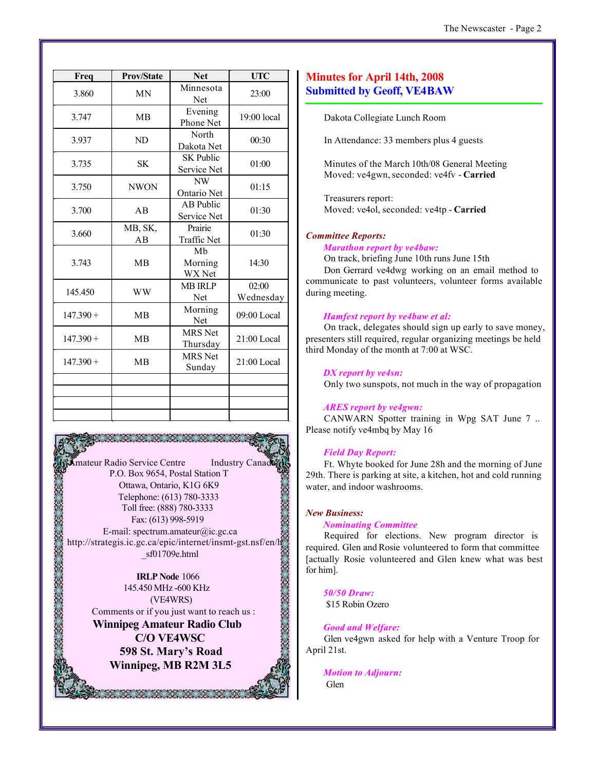| The Newscaster - Page 2 |  |  |
|-------------------------|--|--|
|-------------------------|--|--|

| Freq        | <b>Prov/State</b> | <b>Net</b>                      | <b>UTC</b>         |
|-------------|-------------------|---------------------------------|--------------------|
| 3.860       | <b>MN</b>         | Minnesota<br>Net                | 23:00              |
| 3.747       | <b>MB</b>         | Evening<br>Phone Net            | $19:00$ local      |
| 3.937       | ND                | North<br>Dakota Net             | 00:30              |
| 3.735       | <b>SK</b>         | <b>SK Public</b><br>Service Net | 01:00              |
| 3.750       | <b>NWON</b>       | NW<br>Ontario Net               | 01:15              |
| 3.700       | AB                | AB Public<br>Service Net        | 01:30              |
| 3.660       | MB, SK,<br>AB     | Prairie<br><b>Traffic Net</b>   | 01:30              |
| 3.743       | <b>MB</b>         | Mb<br>Morning<br>WX Net         | 14:30              |
| 145.450     | <b>WW</b>         | <b>MB IRLP</b><br>Net           | 02:00<br>Wednesday |
| $147.390 +$ | <b>MB</b>         | Morning<br>Net                  | 09:00 Local        |
| $147.390 +$ | <b>MB</b>         | <b>MRS</b> Net<br>Thursday      | 21:00 Local        |
| $147.390 +$ | MB                | <b>MRS</b> Net<br>Sunday        | 21:00 Local        |
|             |                   |                                 |                    |
|             |                   |                                 |                    |
|             |                   |                                 |                    |

**Amateur Radio Service Centre** Industry Canad P.O. Box 9654, Postal Station T Ottawa, Ontario, K1G 6K9 Telephone: (613) 780-3333 Toll free: (888) 780-3333 Fax: (613) 998-5919 E-mail: spectrum.amateur@ic.gc.ca http://strategis.ic.gc.ca/epic/internet/insmt-gst.nsf/en/h \_sf01709e.html

**IRLP Node** 1066 145.450 MHz -600 KHz (VE4WRS) Comments or if you just want to reach us :

**Winnipeg Amateur Radio Club C/O VE4WSC 598 St. Mary's Road Winnipeg, MB R2M 3L5**

#### **Minutes for April 14th, 2008 Submitted by Geoff, VE4BAW**

Dakota Collegiate Lunch Room

In Attendance: 33 members plus 4 guests

Minutes of the March 10th/08 General Meeting Moved: ve4gwn, seconded: ve4fv - **Carried**

Treasurers report: Moved: ve4ol, seconded: ve4tp - **Carried**

#### *Committee Reports:*

#### *Marathon report by ve4baw:*

On track, briefing June 10th runs June 15th Don Gerrard ve4dwg working on an email method to communicate to past volunteers, volunteer forms available during meeting.

#### *Hamfest report by ve4baw et al:*

On track, delegates should sign up early to save money, presenters still required, regular organizing meetings be held third Monday of the month at 7:00 at WSC.

#### *DX report by ve4sn:*

Only two sunspots, not much in the way of propagation

#### *ARES report by ve4gwn:*

CANWARN Spotter training in Wpg SAT June 7 .. Please notify ve4mbq by May 16

#### *Field Day Report:*

Ft. Whyte booked for June 28h and the morning of June 29th. There is parking at site, a kitchen, hot and cold running water, and indoor washrooms.

#### *New Business:*

#### *Nominating Committee*

Required for elections. New program director is required. Glen and Rosie volunteered to form that committee [actually Rosie volunteered and Glen knew what was best for him].

*50/50 Draw:*

\$15 Robin Ozero

#### *Good and Welfare:*

Glen ve4gwn asked for help with a Venture Troop for April 21st.

*Motion to Adjourn:* Glen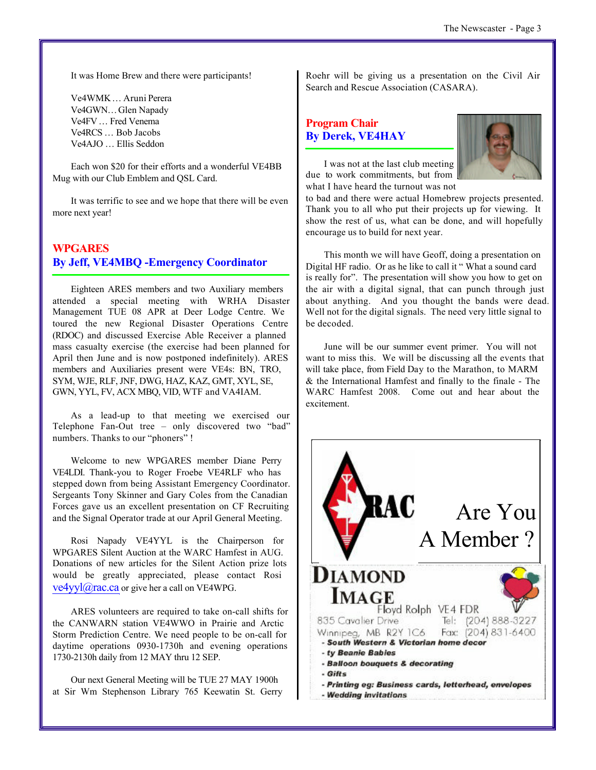It was Home Brew and there were participants!

Ve4WMK … Aruni Perera Ve4GWN… Glen Napady Ve4FV … Fred Venema Ve4RCS … Bob Jacobs Ve4AJO … Ellis Seddon

Each won \$20 for their efforts and a wonderful VE4BB Mug with our Club Emblem and QSL Card.

It was terrific to see and we hope that there will be even more next year!

#### **WPGARES By Jeff, VE4MBQ -Emergency Coordinator**

Eighteen ARES members and two Auxiliary members attended a special meeting with WRHA Disaster Management TUE 08 APR at Deer Lodge Centre. We toured the new Regional Disaster Operations Centre (RDOC) and discussed Exercise Able Receiver a planned mass casualty exercise (the exercise had been planned for April then June and is now postponed indefinitely). ARES members and Auxiliaries present were VE4s: BN, TRO, SYM, WJE, RLF, JNF, DWG, HAZ, KAZ, GMT, XYL, SE, GWN, YYL, FV, ACX MBQ, VID, WTF and VA4IAM.

As a lead-up to that meeting we exercised our Telephone Fan-Out tree – only discovered two "bad" numbers. Thanks to our "phoners" !

Welcome to new WPGARES member Diane Perry VE4LDI. Thank-you to Roger Froebe VE4RLF who has stepped down from being Assistant Emergency Coordinator. Sergeants Tony Skinner and Gary Coles from the Canadian Forces gave us an excellent presentation on CF Recruiting and the Signal Operator trade at our April General Meeting.

Rosi Napady VE4YYL is the Chairperson for WPGARES Silent Auction at the WARC Hamfest in AUG. Donations of new articles for the Silent Action prize lots would be greatly appreciated, please contact Rosi  $ve4$ yyl $@$ rac.ca or give her a call on VE4WPG.

ARES volunteers are required to take on-call shifts for the CANWARN station VE4WWO in Prairie and Arctic Storm Prediction Centre. We need people to be on-call for daytime operations 0930-1730h and evening operations 1730-2130h daily from 12 MAY thru 12 SEP.

Our next General Meeting will be TUE 27 MAY 1900h at Sir Wm Stephenson Library 765 Keewatin St. Gerry Roehr will be giving us a presentation on the Civil Air Search and Rescue Association (CASARA).

### **Program Chair By Derek, VE4HAY**



I was not at the last club meeting due to work commitments, but from what I have heard the turnout was not

to bad and there were actual Homebrew projects presented. Thank you to all who put their projects up for viewing. It show the rest of us, what can be done, and will hopefully encourage us to build for next year.

This month we will have Geoff, doing a presentation on Digital HF radio. Or as he like to call it " What a sound card is really for". The presentation will show you how to get on the air with a digital signal, that can punch through just about anything. And you thought the bands were dead. Well not for the digital signals. The need very little signal to be decoded.

June will be our summer event primer. You will not want to miss this. We will be discussing all the events that will take place, from Field Day to the Marathon, to MARM & the International Hamfest and finally to the finale - The WARC Hamfest 2008. Come out and hear about the excitement.

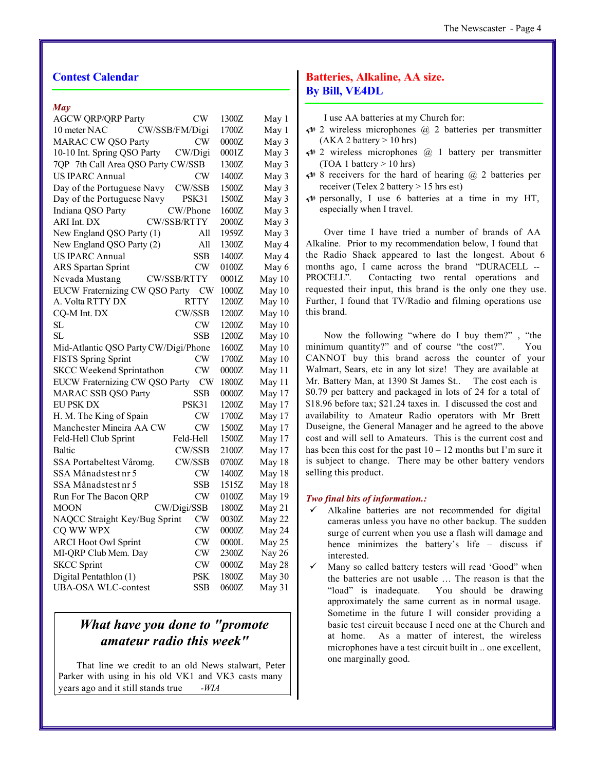#### **Contest Calendar**

#### *May*

| <b>AGCW QRP/QRP Party</b>            | CW                 | 1300Z | May 1  |
|--------------------------------------|--------------------|-------|--------|
| 10 meter NAC                         | CW/SSB/FM/Digi     | 1700Z | May 1  |
| <b>MARAC CW QSO Party</b>            | CW                 | 0000Z | May 3  |
| 10-10 Int. Spring QSO Party          | CW/Digi            | 0001Z | May 3  |
| 7QP 7th Call Area QSO Party CW/SSB   |                    | 1300Z | May 3  |
| <b>US IPARC Annual</b>               | CW                 | 1400Z | May 3  |
| Day of the Portuguese Navy           | CW/SSB             | 1500Z | May 3  |
| Day of the Portuguese Navy           | PSK31              | 1500Z | May 3  |
| Indiana QSO Party                    | CW/Phone           | 1600Z | May 3  |
| ARI Int. DX                          | CW/SSB/RTTY        | 2000Z | May 3  |
| New England QSO Party (1)            | All                | 1959Z | May 3  |
| New England QSO Party (2)            | All                | 1300Z | May 4  |
| <b>US IPARC Annual</b>               | <b>SSB</b>         | 1400Z | May 4  |
| <b>ARS</b> Spartan Sprint            | CW                 | 0100Z | May 6  |
| Nevada Mustang                       | <b>CW/SSB/RTTY</b> | 0001Z | May 10 |
| EUCW Fraternizing CW QSO Party       | <b>CW</b>          | 1000Z | May 10 |
| A. Volta RTTY DX                     | RTTY               | 1200Z | May 10 |
| CQ-M Int. DX                         | CW/SSB             | 1200Z | May 10 |
| SL                                   | CW                 | 1200Z | May 10 |
| SL                                   | <b>SSB</b>         | 1200Z | May 10 |
| Mid-Atlantic QSO Party CW/Digi/Phone |                    | 1600Z | May 10 |
| <b>FISTS Spring Sprint</b>           | CW                 | 1700Z | May 10 |
| <b>SKCC Weekend Sprintathon</b>      | CW                 | 0000Z | May 11 |
| EUCW Fraternizing CW QSO Party       | <b>CW</b>          | 1800Z | May 11 |
| <b>MARAC SSB QSO Party</b>           | <b>SSB</b>         | 0000Z | May 17 |
| EU PSK DX                            | PSK31              | 1200Z | May 17 |
| H. M. The King of Spain              | CW                 | 1700Z | May 17 |
| Manchester Mineira AA CW             | CW                 | 1500Z | May 17 |
| Feld-Hell Club Sprint                | Feld-Hell          | 1500Z | May 17 |
| Baltic                               | CW/SSB             | 2100Z | May 17 |
| SSA Portabeltest Våromg.             | CW/SSB             | 0700Z | May 18 |
| SSA Månadstest nr 5                  | CW                 | 1400Z | May 18 |
| SSA Månadstest nr 5                  | SSB                | 1515Z | May 18 |
| Run For The Bacon QRP                | CW                 | 0100Z | May 19 |
| MOON                                 | CW/Digi/SSB        | 1800Z | May 21 |
| NAQCC Straight Key/Bug Sprint        | CW                 | 0030Z | May 22 |
| CQ WW WPX                            | CW                 | 0000Z | May 24 |
| <b>ARCI Hoot Owl Sprint</b>          | CW                 | 0000L | May 25 |
| MI-QRP Club Mem. Day                 | CW                 | 2300Z | Nay 26 |
| <b>SKCC</b> Sprint                   | <b>CW</b>          | 0000Z | May 28 |
| Digital Pentathlon (1)               | <b>PSK</b>         | 1800Z | May 30 |
| UBA-OSA WLC-contest                  | SSB                | 0600Z | May 31 |

## *What have you done to "promote amateur radio this week"*

That line we credit to an old News stalwart, Peter Parker with using in his old VK1 and VK3 casts many years ago and it still stands true *-WIA*

#### **Batteries, Alkaline, AA size. By Bill, VE4DL**

I use AA batteries at my Church for:

- $\triangleleft$  2 wireless microphones  $\omega$  2 batteries per transmitter  $(AKA 2 battery > 10 hrs)$
- $\triangleleft$  2 wireless microphones  $\omega$  1 battery per transmitter  $(TOA 1 battery > 10 hrs)$
- $\triangleleft$  8 receivers for the hard of hearing  $\omega$  2 batteries per receiver (Telex 2 battery > 15 hrs est)
- $\leftrightarrow$  personally, I use 6 batteries at a time in my HT, especially when I travel.

Over time I have tried a number of brands of AA Alkaline. Prior to my recommendation below, I found that the Radio Shack appeared to last the longest. About 6 months ago, I came across the brand "DURACELL -- PROCELL". Contacting two rental operations and requested their input, this brand is the only one they use. Further, I found that TV/Radio and filming operations use this brand.

Now the following "where do I buy them?" , "the minimum quantity?" and of course "the cost?". You CANNOT buy this brand across the counter of your Walmart, Sears, etc in any lot size! They are available at Mr. Battery Man, at 1390 St James St.. The cost each is \$0.79 per battery and packaged in lots of 24 for a total of \$18.96 before tax; \$21.24 taxes in. I discussed the cost and availability to Amateur Radio operators with Mr Brett Duseigne, the General Manager and he agreed to the above cost and will sell to Amateurs. This is the current cost and has been this cost for the past  $10 - 12$  months but I'm sure it is subject to change. There may be other battery vendors selling this product.

#### *Two final bits of information.:*

- Alkaline batteries are not recommended for digital cameras unless you have no other backup. The sudden surge of current when you use a flash will damage and hence minimizes the battery's life – discuss if interested.
- Many so called battery testers will read 'Good" when the batteries are not usable … The reason is that the "load" is inadequate. You should be drawing approximately the same current as in normal usage. Sometime in the future I will consider providing a basic test circuit because I need one at the Church and at home. As a matter of interest, the wireless microphones have a test circuit built in .. one excellent, one marginally good.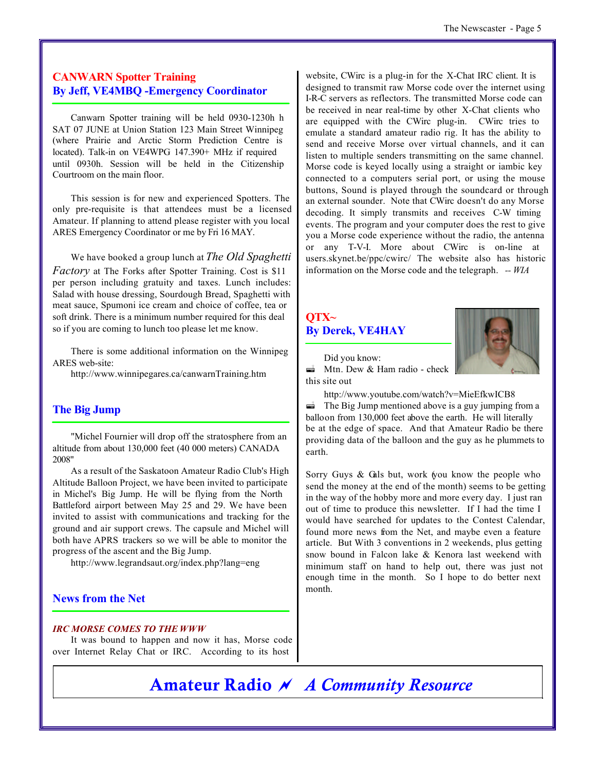### **CANWARN Spotter Training By Jeff, VE4MBQ -Emergency Coordinator**

Canwarn Spotter training will be held 0930-1230h h SAT 07 JUNE at Union Station 123 Main Street Winnipeg (where Prairie and Arctic Storm Prediction Centre is located). Talk-in on VE4WPG 147.390+ MHz if required until 0930h. Session will be held in the Citizenship Courtroom on the main floor.

This session is for new and experienced Spotters. The only pre-requisite is that attendees must be a licensed Amateur. If planning to attend please register with you local ARES Emergency Coordinator or me by Fri 16 MAY.

We have booked a group lunch at *The Old Spaghetti Factory* at The Forks after Spotter Training. Cost is \$11 per person including gratuity and taxes. Lunch includes: Salad with house dressing, Sourdough Bread, Spaghetti with meat sauce, Spumoni ice cream and choice of coffee, tea or soft drink. There is a minimum number required for this deal so if you are coming to lunch too please let me know.

There is some additional information on the Winnipeg ARES web-site:

http://www.winnipegares.ca/canwarnTraining.htm

#### **The Big Jump**

"Michel Fournier will drop off the stratosphere from an altitude from about 130,000 feet (40 000 meters) CANADA 2008"

As a result of the Saskatoon Amateur Radio Club's High Altitude Balloon Project, we have been invited to participate in Michel's Big Jump. He will be flying from the North Battleford airport between May 25 and 29. We have been invited to assist with communications and tracking for the ground and air support crews. The capsule and Michel will both have APRS trackers so we will be able to monitor the progress of the ascent and the Big Jump.

http://www.legrandsaut.org/index.php?lang=eng

#### **News from the Net**

#### *IRC MORSE COMES TO THE WWW*

It was bound to happen and now it has, Morse code over Internet Relay Chat or IRC. According to its host

website, CWirc is a plug-in for the X-Chat IRC client. It is designed to transmit raw Morse code over the internet using I-R-C servers as reflectors. The transmitted Morse code can be received in near real-time by other X-Chat clients who are equipped with the CWirc plug-in. CWirc tries to emulate a standard amateur radio rig. It has the ability to send and receive Morse over virtual channels, and it can listen to multiple senders transmitting on the same channel. Morse code is keyed locally using a straight or iambic key connected to a computers serial port, or using the mouse buttons, Sound is played through the soundcard or through an external sounder. Note that CWirc doesn't do any Morse decoding. It simply transmits and receives C-W timing events. The program and your computer does the rest to give you a Morse code experience without the radio, the antenna or any T-V-I. More about CWirc is on-line at users.skynet.be/ppc/cwirc/ The website also has historic information on the Morse code and the telegraph. *-- WIA*

## **QTX~ By Derek, VE4HAY**



Did you know:  $\triangleq$  Mtn. Dew & Ham radio - check this site out

http://www.youtube.com/watch?v=MieEfkwICB8  $\vec{a}$  The Big Jump mentioned above is a guy jumping from a balloon from 130,000 feet above the earth. He will literally be at the edge of space. And that Amateur Radio be there providing data of the balloon and the guy as he plummets to earth.

Sorry Guys & Gals but, work (you know the people who send the money at the end of the month) seems to be getting in the way of the hobby more and more every day. I just ran out of time to produce this newsletter. If I had the time I would have searched for updates to the Contest Calendar, found more news from the Net, and maybe even a feature article. But With 3 conventions in 2 weekends, plus getting snow bound in Falcon lake & Kenora last weekend with minimum staff on hand to help out, there was just not enough time in the month. So I hope to do better next month.

# **Amateur Radio** ~ *A Community Resource*